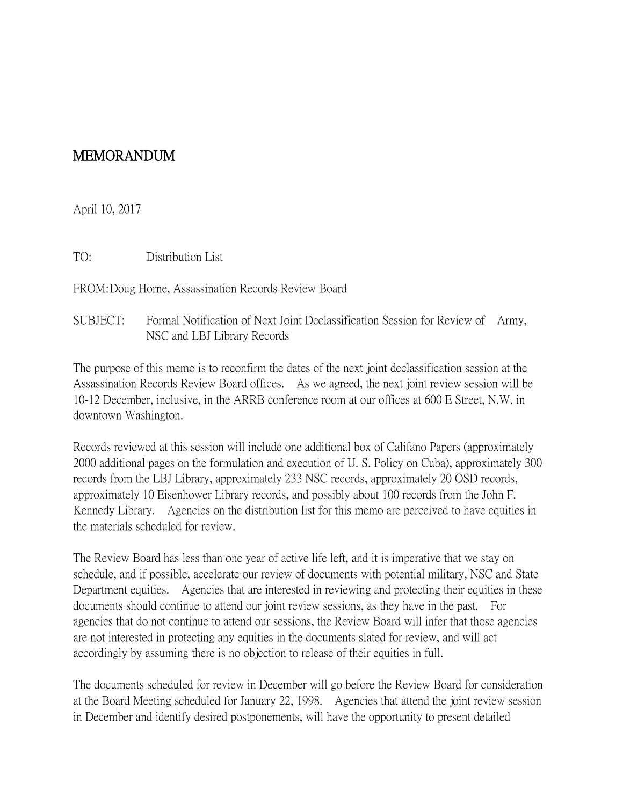## MEMORANDUM

April 10, 2017

TO: Distribution List

FROM:Doug Horne, Assassination Records Review Board

SUBJECT: Formal Notification of Next Joint Declassification Session for Review of Army, NSC and LBJ Library Records

The purpose of this memo is to reconfirm the dates of the next joint declassification session at the Assassination Records Review Board offices. As we agreed, the next joint review session will be 10-12 December, inclusive, in the ARRB conference room at our offices at 600 E Street, N.W. in downtown Washington.

Records reviewed at this session will include one additional box of Califano Papers (approximately 2000 additional pages on the formulation and execution of U. S. Policy on Cuba), approximately 300 records from the LBJ Library, approximately 233 NSC records, approximately 20 OSD records, approximately 10 Eisenhower Library records, and possibly about 100 records from the John F. Kennedy Library. Agencies on the distribution list for this memo are perceived to have equities in the materials scheduled for review.

The Review Board has less than one year of active life left, and it is imperative that we stay on schedule, and if possible, accelerate our review of documents with potential military, NSC and State Department equities. Agencies that are interested in reviewing and protecting their equities in these documents should continue to attend our joint review sessions, as they have in the past. For agencies that do not continue to attend our sessions, the Review Board will infer that those agencies are not interested in protecting any equities in the documents slated for review, and will act accordingly by assuming there is no objection to release of their equities in full.

The documents scheduled for review in December will go before the Review Board for consideration at the Board Meeting scheduled for January 22, 1998. Agencies that attend the joint review session in December and identify desired postponements, will have the opportunity to present detailed